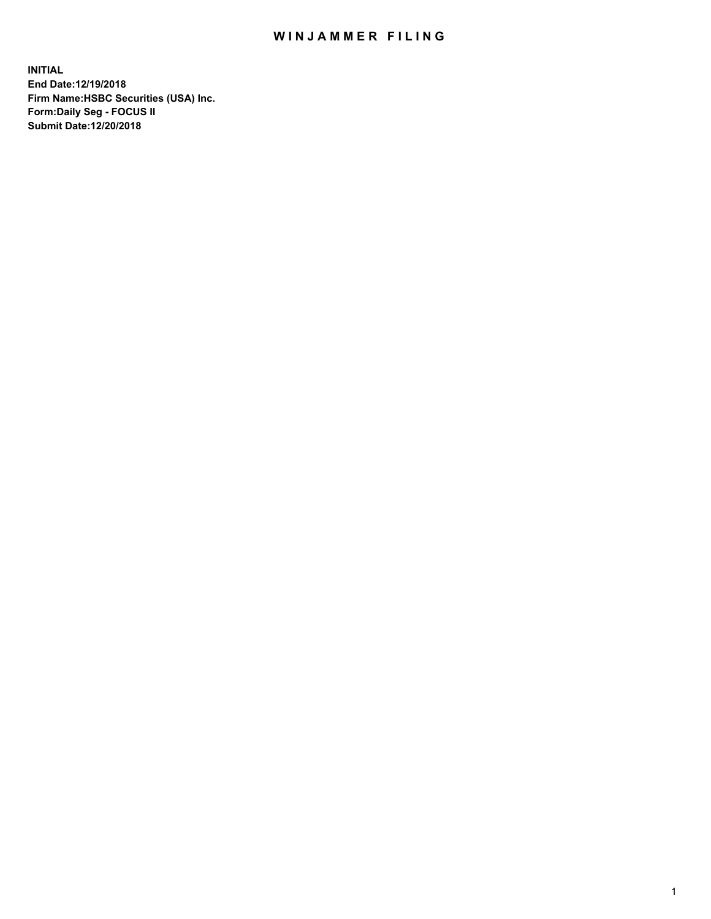## WIN JAMMER FILING

**INITIAL End Date:12/19/2018 Firm Name:HSBC Securities (USA) Inc. Form:Daily Seg - FOCUS II Submit Date:12/20/2018**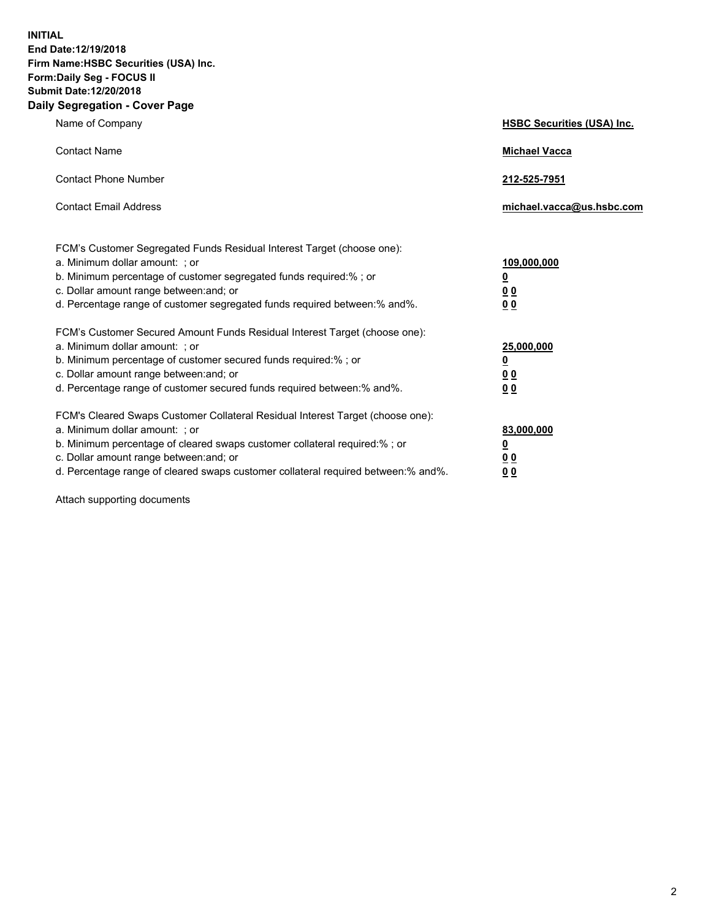**INITIAL End Date:12/19/2018 Firm Name:HSBC Securities (USA) Inc. Form:Daily Seg - FOCUS II Submit Date:12/20/2018 Daily Segregation - Cover Page**

| Name of Company                                                                                                                                                                                                                                                                                                                | <b>HSBC Securities (USA) Inc.</b>                                           |
|--------------------------------------------------------------------------------------------------------------------------------------------------------------------------------------------------------------------------------------------------------------------------------------------------------------------------------|-----------------------------------------------------------------------------|
| <b>Contact Name</b>                                                                                                                                                                                                                                                                                                            | <b>Michael Vacca</b>                                                        |
| <b>Contact Phone Number</b>                                                                                                                                                                                                                                                                                                    | 212-525-7951                                                                |
| <b>Contact Email Address</b>                                                                                                                                                                                                                                                                                                   | michael.vacca@us.hsbc.com                                                   |
| FCM's Customer Segregated Funds Residual Interest Target (choose one):<br>a. Minimum dollar amount: ; or<br>b. Minimum percentage of customer segregated funds required:% ; or<br>c. Dollar amount range between: and; or<br>d. Percentage range of customer segregated funds required between:% and%.                         | 109,000,000<br>$\underline{\mathbf{0}}$<br>0 <sub>0</sub><br>0 <sub>0</sub> |
| FCM's Customer Secured Amount Funds Residual Interest Target (choose one):<br>a. Minimum dollar amount: ; or<br>b. Minimum percentage of customer secured funds required:%; or<br>c. Dollar amount range between: and; or<br>d. Percentage range of customer secured funds required between:% and%.                            | 25,000,000<br><u>0</u><br>0 <sub>0</sub><br>00                              |
| FCM's Cleared Swaps Customer Collateral Residual Interest Target (choose one):<br>a. Minimum dollar amount: ; or<br>b. Minimum percentage of cleared swaps customer collateral required:% ; or<br>c. Dollar amount range between: and; or<br>d. Percentage range of cleared swaps customer collateral required between:% and%. | 83,000,000<br><u>0</u><br><u>00</u><br>00                                   |

Attach supporting documents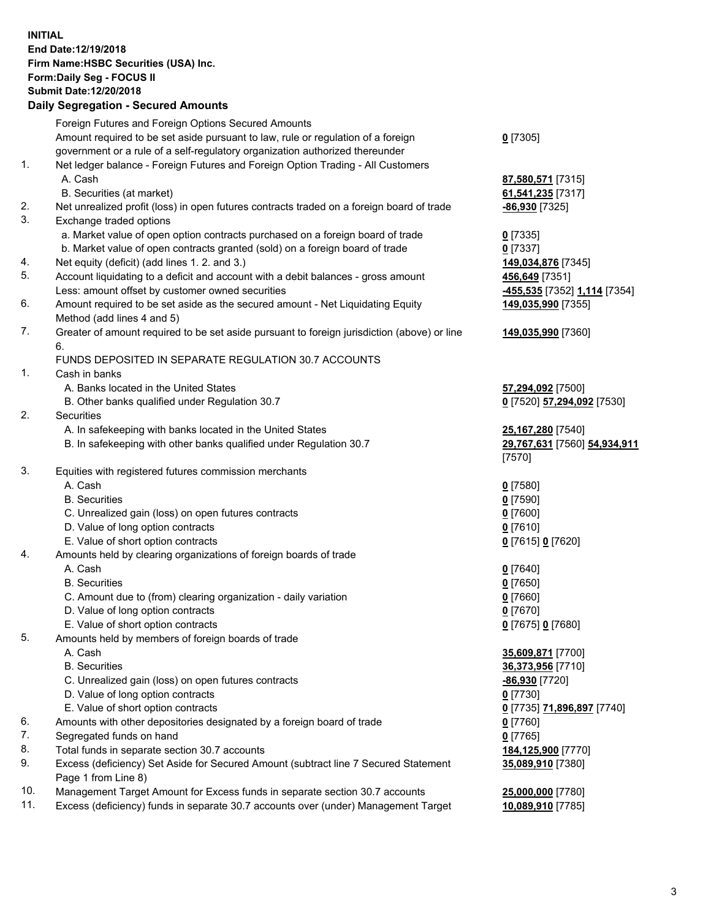**INITIAL End Date:12/19/2018 Firm Name:HSBC Securities (USA) Inc. Form:Daily Seg - FOCUS II Submit Date:12/20/2018**

## **Daily Segregation - Secured Amounts**

|     | Foreign Futures and Foreign Options Secured Amounts                                                        |                                        |
|-----|------------------------------------------------------------------------------------------------------------|----------------------------------------|
|     | Amount required to be set aside pursuant to law, rule or regulation of a foreign                           | $0$ [7305]                             |
|     | government or a rule of a self-regulatory organization authorized thereunder                               |                                        |
| 1.  | Net ledger balance - Foreign Futures and Foreign Option Trading - All Customers                            |                                        |
|     | A. Cash                                                                                                    | 87,580,571 [7315]                      |
|     | B. Securities (at market)                                                                                  | 61,541,235 [7317]                      |
| 2.  | Net unrealized profit (loss) in open futures contracts traded on a foreign board of trade                  | -86,930 [7325]                         |
| 3.  | Exchange traded options                                                                                    |                                        |
|     | a. Market value of open option contracts purchased on a foreign board of trade                             | $0$ [7335]                             |
|     | b. Market value of open contracts granted (sold) on a foreign board of trade                               | $0$ [7337]                             |
| 4.  | Net equity (deficit) (add lines 1. 2. and 3.)                                                              | 149,034,876 [7345]                     |
| 5.  | Account liquidating to a deficit and account with a debit balances - gross amount                          | 456,649 [7351]                         |
|     | Less: amount offset by customer owned securities                                                           | -455,535 [7352] 1,114 [7354]           |
| 6.  | Amount required to be set aside as the secured amount - Net Liquidating Equity                             | 149,035,990 [7355]                     |
|     | Method (add lines 4 and 5)                                                                                 |                                        |
| 7.  | Greater of amount required to be set aside pursuant to foreign jurisdiction (above) or line                | 149,035,990 [7360]                     |
|     | 6.<br>FUNDS DEPOSITED IN SEPARATE REGULATION 30.7 ACCOUNTS                                                 |                                        |
| 1.  | Cash in banks                                                                                              |                                        |
|     | A. Banks located in the United States                                                                      | 57,294,092 [7500]                      |
|     | B. Other banks qualified under Regulation 30.7                                                             | 0 [7520] 57,294,092 [7530]             |
| 2.  | Securities                                                                                                 |                                        |
|     | A. In safekeeping with banks located in the United States                                                  | 25,167,280 [7540]                      |
|     | B. In safekeeping with other banks qualified under Regulation 30.7                                         | 29,767,631 [7560] 54,934,911<br>[7570] |
| 3.  | Equities with registered futures commission merchants                                                      |                                        |
|     | A. Cash                                                                                                    | $0$ [7580]                             |
|     | <b>B.</b> Securities                                                                                       | $0$ [7590]                             |
|     | C. Unrealized gain (loss) on open futures contracts                                                        | $0$ [7600]                             |
|     | D. Value of long option contracts                                                                          | $0$ [7610]                             |
|     | E. Value of short option contracts                                                                         | 0 [7615] 0 [7620]                      |
| 4.  | Amounts held by clearing organizations of foreign boards of trade                                          |                                        |
|     | A. Cash                                                                                                    | $0$ [7640]                             |
|     | <b>B.</b> Securities                                                                                       | $0$ [7650]                             |
|     | C. Amount due to (from) clearing organization - daily variation                                            | $0$ [7660]                             |
|     | D. Value of long option contracts                                                                          | $0$ [7670]                             |
|     | E. Value of short option contracts                                                                         | 0 [7675] 0 [7680]                      |
| 5.  | Amounts held by members of foreign boards of trade                                                         |                                        |
|     | A. Cash                                                                                                    | 35,609,871 [7700]                      |
|     | <b>B.</b> Securities                                                                                       | 36,373,956 [7710]                      |
|     | C. Unrealized gain (loss) on open futures contracts                                                        | <u>-86,930</u> [7720]                  |
|     | D. Value of long option contracts                                                                          | $0$ [7730]                             |
|     | E. Value of short option contracts                                                                         | 0 [7735] 71,896,897 [7740]             |
| 6.  | Amounts with other depositories designated by a foreign board of trade                                     | $0$ [7760]                             |
| 7.  | Segregated funds on hand                                                                                   | $0$ [7765]                             |
| 8.  | Total funds in separate section 30.7 accounts                                                              | 184,125,900 [7770]                     |
| 9.  | Excess (deficiency) Set Aside for Secured Amount (subtract line 7 Secured Statement<br>Page 1 from Line 8) | 35,089,910 [7380]                      |
| 10. | Management Target Amount for Excess funds in separate section 30.7 accounts                                | 25,000,000 [7780]                      |
| 11. | Excess (deficiency) funds in separate 30.7 accounts over (under) Management Target                         | 10,089,910 [7785]                      |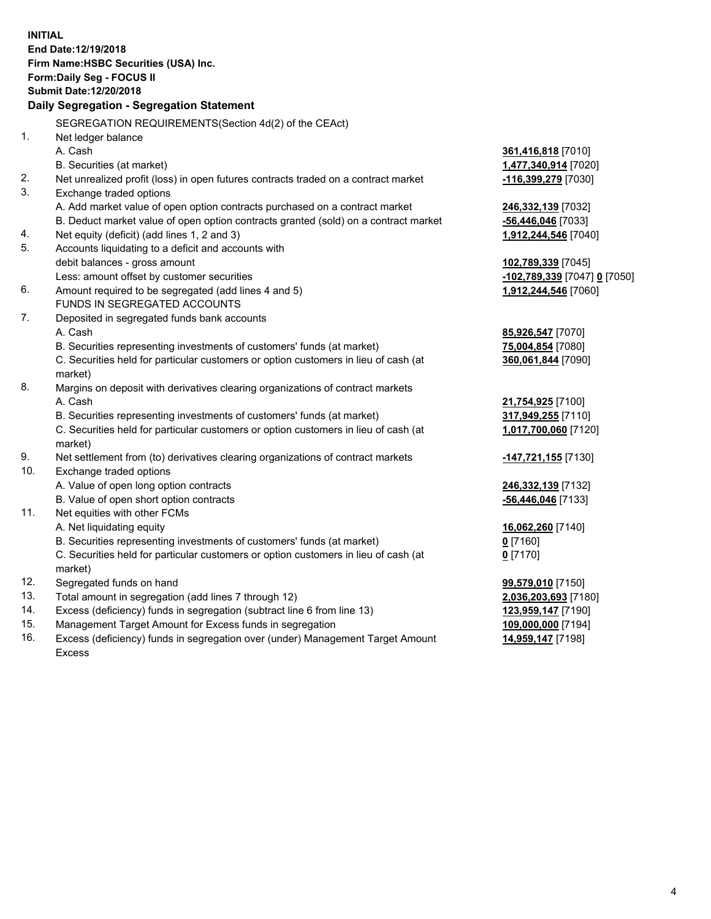| <b>INITIAL</b> | End Date: 12/19/2018<br>Firm Name: HSBC Securities (USA) Inc.<br>Form: Daily Seg - FOCUS II<br>Submit Date: 12/20/2018<br>Daily Segregation - Segregation Statement |                                     |
|----------------|---------------------------------------------------------------------------------------------------------------------------------------------------------------------|-------------------------------------|
|                | SEGREGATION REQUIREMENTS(Section 4d(2) of the CEAct)                                                                                                                |                                     |
| 1.             | Net ledger balance                                                                                                                                                  |                                     |
|                | A. Cash                                                                                                                                                             | 361,416,818 [7010]                  |
|                | B. Securities (at market)                                                                                                                                           | 1,477,340,914 [7020]                |
| 2.             | Net unrealized profit (loss) in open futures contracts traded on a contract market                                                                                  | -116,399,279 [7030]                 |
| 3.             | Exchange traded options                                                                                                                                             |                                     |
|                | A. Add market value of open option contracts purchased on a contract market                                                                                         | 246,332,139 [7032]                  |
|                | B. Deduct market value of open option contracts granted (sold) on a contract market                                                                                 | -56,446,046 [7033]                  |
| 4.             | Net equity (deficit) (add lines 1, 2 and 3)                                                                                                                         | 1,912,244,546 [7040]                |
| 5.             | Accounts liquidating to a deficit and accounts with                                                                                                                 |                                     |
|                | debit balances - gross amount                                                                                                                                       | 102,789,339 [7045]                  |
|                | Less: amount offset by customer securities                                                                                                                          | <u>-102,789,339</u> [7047] 0 [7050] |
| 6.             | Amount required to be segregated (add lines 4 and 5)                                                                                                                | 1,912,244,546 [7060]                |
|                | FUNDS IN SEGREGATED ACCOUNTS                                                                                                                                        |                                     |
| 7.             | Deposited in segregated funds bank accounts                                                                                                                         |                                     |
|                | A. Cash                                                                                                                                                             | 85,926,547 [7070]                   |
|                | B. Securities representing investments of customers' funds (at market)                                                                                              | 75,004,854 [7080]                   |
|                | C. Securities held for particular customers or option customers in lieu of cash (at<br>market)                                                                      | 360,061,844 [7090]                  |
| 8.             | Margins on deposit with derivatives clearing organizations of contract markets                                                                                      |                                     |
|                | A. Cash                                                                                                                                                             | 21,754,925 [7100]                   |
|                | B. Securities representing investments of customers' funds (at market)                                                                                              | 317,949,255 [7110]                  |
|                | C. Securities held for particular customers or option customers in lieu of cash (at<br>market)                                                                      | 1,017,700,060 [7120]                |
| 9.             | Net settlement from (to) derivatives clearing organizations of contract markets                                                                                     | -147,721,155 [7130]                 |
| 10.            | Exchange traded options                                                                                                                                             |                                     |
|                | A. Value of open long option contracts                                                                                                                              | 246,332,139 [7132]                  |
|                | B. Value of open short option contracts                                                                                                                             | -56,446,046 [7133]                  |
| 11.            | Net equities with other FCMs                                                                                                                                        |                                     |
|                | A. Net liquidating equity                                                                                                                                           | 16,062,260 [7140]                   |
|                | B. Securities representing investments of customers' funds (at market)                                                                                              | $0$ [7160]                          |
|                | C. Securities held for particular customers or option customers in lieu of cash (at                                                                                 | $0$ [7170]                          |
|                | market)                                                                                                                                                             |                                     |
| 12.            | Segregated funds on hand                                                                                                                                            | 99,579,010 [7150]                   |
| 13.            | Total amount in segregation (add lines 7 through 12)                                                                                                                | 2,036,203,693 [7180]                |
| 14.            | Excess (deficiency) funds in segregation (subtract line 6 from line 13)                                                                                             | 123,959,147 [7190]                  |
| 15.            | Management Target Amount for Excess funds in segregation                                                                                                            | 109,000,000 [7194]                  |

16. Excess (deficiency) funds in segregation over (under) Management Target Amount Excess

**14,959,147** [7198]